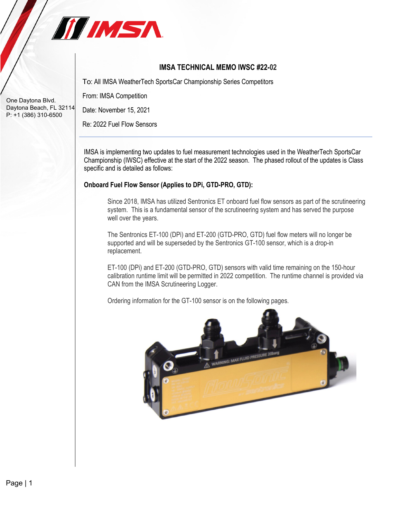

# **IMSA TECHNICAL MEMO IWSC #22-02**

To: All IMSA WeatherTech SportsCar Championship Series Competitors

From: IMSA Competition

Date: November 15, 2021

Re: 2022 Fuel Flow Sensors

IMSA is implementing two updates to fuel measurement technologies used in the WeatherTech SportsCar Championship (IWSC) effective at the start of the 2022 season. The phased rollout of the updates is Class specific and is detailed as follows:

## **Onboard Fuel Flow Sensor (Applies to DPi, GTD-PRO, GTD):**

Since 2018, IMSA has utilized Sentronics ET onboard fuel flow sensors as part of the scrutineering system. This is a fundamental sensor of the scrutineering system and has served the purpose well over the years.

The Sentronics ET-100 (DPi) and ET-200 (GTD-PRO, GTD) fuel flow meters will no longer be supported and will be superseded by the Sentronics GT-100 sensor, which is a drop-in replacement.

ET-100 (DPi) and ET-200 (GTD-PRO, GTD) sensors with valid time remaining on the 150-hour calibration runtime limit will be permitted in 2022 competition. The runtime channel is provided via CAN from the IMSA Scrutineering Logger.

Ordering information for the GT-100 sensor is on the following pages.

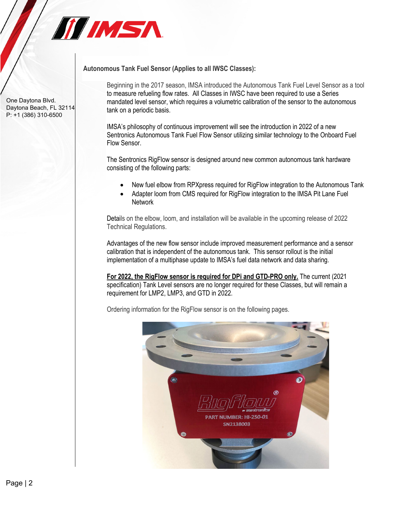

**Autonomous Tank Fuel Sensor (Applies to all IWSC Classes):**

Beginning in the 2017 season, IMSA introduced the Autonomous Tank Fuel Level Sensor as a tool to measure refueling flow rates. All Classes in IWSC have been required to use a Series mandated level sensor, which requires a volumetric calibration of the sensor to the autonomous tank on a periodic basis.

IMSA's philosophy of continuous improvement will see the introduction in 2022 of a new Sentronics Autonomous Tank Fuel Flow Sensor utilizing similar technology to the Onboard Fuel Flow Sensor.

The Sentronics RigFlow sensor is designed around new common autonomous tank hardware consisting of the following parts:

- New fuel elbow from RPXpress required for RigFlow integration to the Autonomous Tank
- Adapter loom from CMS required for RigFlow integration to the IMSA Pit Lane Fuel **Network**

Details on the elbow, loom, and installation will be available in the upcoming release of 2022 Technical Regulations.

Advantages of the new flow sensor include improved measurement performance and a sensor calibration that is independent of the autonomous tank. This sensor rollout is the initial implementation of a multiphase update to IMSA's fuel data network and data sharing.

**For 2022, the RigFlow sensor is required for DPi and GTD-PRO only.** The current (2021 specification) Tank Level sensors are no longer required for these Classes, but will remain a requirement for LMP2, LMP3, and GTD in 2022.

Ordering information for the RigFlow sensor is on the following pages.



One Daytona Blvd. Daytona Beach, FL 32114 P: +1 (386) 310-6500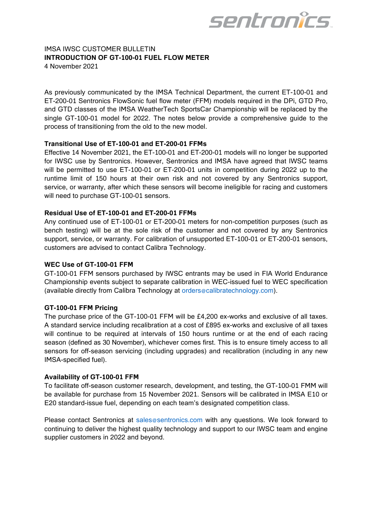

## IMSA IWSC CUSTOMER BULLETIN **INTRODUCTION OF GT-100-01 FUEL FLOW METER** 4 November 2021

As previously communicated by the IMSA Technical Department, the current ET-100-01 and ET-200-01 Sentronics FlowSonic fuel flow meter (FFM) models required in the DPi, GTD Pro, and GTD classes of the IMSA WeatherTech SportsCar Championship will be replaced by the single GT-100-01 model for 2022. The notes below provide a comprehensive guide to the process of transitioning from the old to the new model.

## **Transitional Use of ET-100-01 and ET-200-01 FFMs**

Effective 14 November 2021, the ET-100-01 and ET-200-01 models will no longer be supported for IWSC use by Sentronics. However, Sentronics and IMSA have agreed that IWSC teams will be permitted to use ET-100-01 or ET-200-01 units in competition during 2022 up to the runtime limit of 150 hours at their own risk and not covered by any Sentronics support, service, or warranty, after which these sensors will become ineligible for racing and customers will need to purchase GT-100-01 sensors.

## **Residual Use of ET-100-01 and ET-200-01 FFMs**

Any continued use of ET-100-01 or ET-200-01 meters for non-competition purposes (such as bench testing) will be at the sole risk of the customer and not covered by any Sentronics support, service, or warranty. For calibration of unsupported ET-100-01 or ET-200-01 sensors, customers are advised to contact Calibra Technology.

#### **WEC Use of GT-100-01 FFM**

GT-100-01 FFM sensors purchased by IWSC entrants may be used in FIA World Endurance Championship events subject to separate calibration in WEC-issued fuel to WEC specification (available directly from Calibra Technology at orders@calibratechnology.com).

## **GT-100-01 FFM Pricing**

The purchase price of the GT-100-01 FFM will be £4,200 ex-works and exclusive of all taxes. A standard service including recalibration at a cost of £895 ex-works and exclusive of all taxes will continue to be required at intervals of 150 hours runtime or at the end of each racing season (defined as 30 November), whichever comes first. This is to ensure timely access to all sensors for off-season servicing (including upgrades) and recalibration (including in any new IMSA-specified fuel).

#### **Availability of GT-100-01 FFM**

To facilitate off-season customer research, development, and testing, the GT-100-01 FMM will be available for purchase from 15 November 2021. Sensors will be calibrated in IMSA E10 or E20 standard-issue fuel, depending on each team's designated competition class.

Please contact Sentronics at sales@sentronics.com with any questions. We look forward to continuing to deliver the highest quality technology and support to our IWSC team and engine supplier customers in 2022 and beyond.